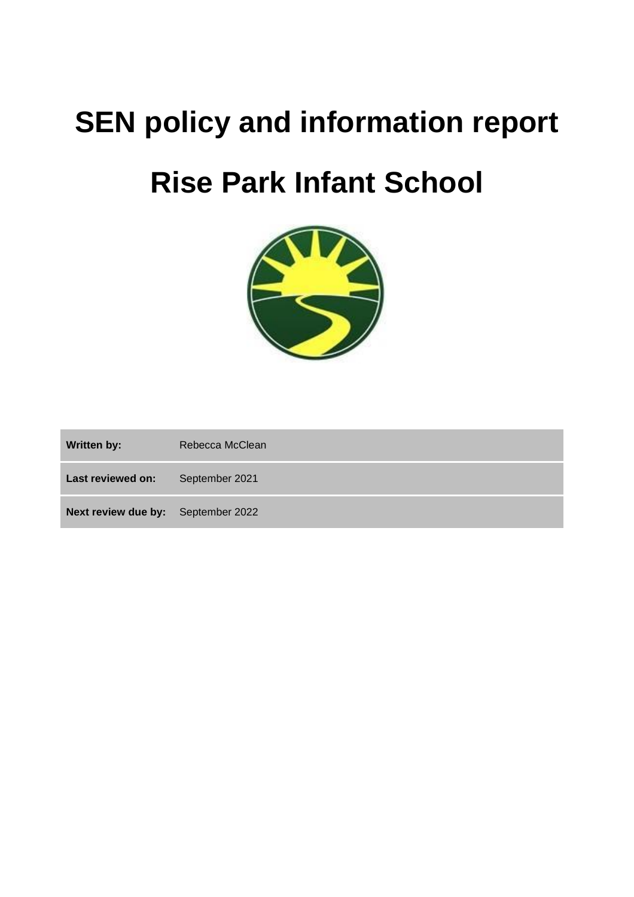# **SEN policy and information report**

# **Rise Park Infant School**



**Written by:** Rebecca McClean **Last reviewed on:** September 2021 **Next review due by:** September 2022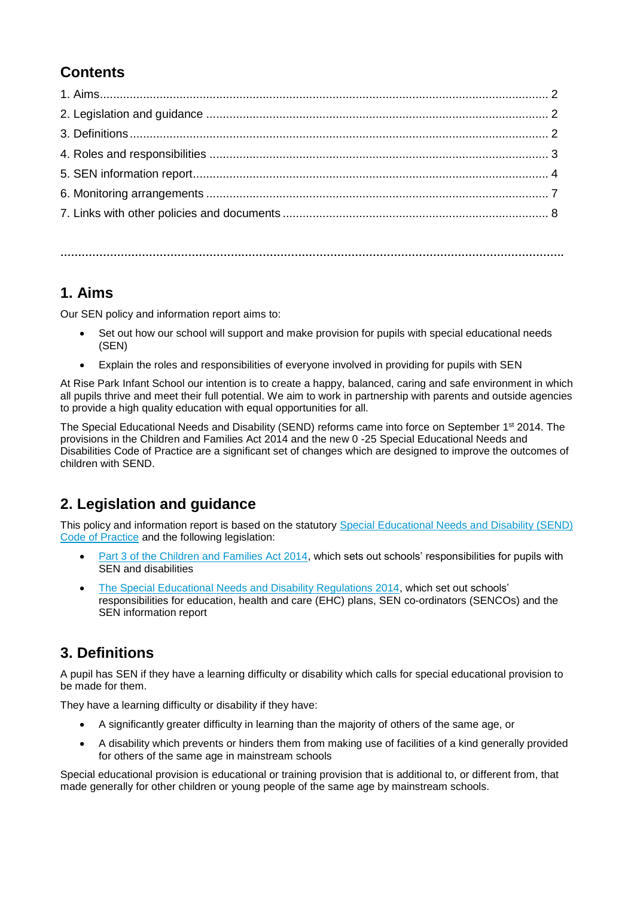# **Contents**

**…………………………………………………………………………………………………………………………….**

# **1. Aims**

Our SEN policy and information report aims to:

- Set out how our school will support and make provision for pupils with special educational needs (SEN)
- Explain the roles and responsibilities of everyone involved in providing for pupils with SEN

At Rise Park Infant School our intention is to create a happy, balanced, caring and safe environment in which all pupils thrive and meet their full potential. We aim to work in partnership with parents and outside agencies to provide a high quality education with equal opportunities for all.

The Special Educational Needs and Disability (SEND) reforms came into force on September 1st 2014. The provisions in the Children and Families Act 2014 and the new 0 -25 Special Educational Needs and Disabilities Code of Practice are a significant set of changes which are designed to improve the outcomes of children with SEND.

# **2. Legislation and guidance**

This policy and information report is based on the statutory [Special Educational Needs and Disability \(SEND\)](https://www.gov.uk/government/uploads/system/uploads/attachment_data/file/398815/SEND_Code_of_Practice_January_2015.pdf)  [Code of Practice](https://www.gov.uk/government/uploads/system/uploads/attachment_data/file/398815/SEND_Code_of_Practice_January_2015.pdf) and the following legislation:

- [Part 3 of the Children and Families Act 2014,](http://www.legislation.gov.uk/ukpga/2014/6/part/3) which sets out schools' responsibilities for pupils with SEN and disabilities
- [The Special Educational Needs and Disability Regulations 2014,](http://www.legislation.gov.uk/uksi/2014/1530/contents/made) which set out schools' responsibilities for education, health and care (EHC) plans, SEN co-ordinators (SENCOs) and the SEN information report

# **3. Definitions**

A pupil has SEN if they have a learning difficulty or disability which calls for special educational provision to be made for them.

They have a learning difficulty or disability if they have:

- A significantly greater difficulty in learning than the majority of others of the same age, or
- A disability which prevents or hinders them from making use of facilities of a kind generally provided for others of the same age in mainstream schools

Special educational provision is educational or training provision that is additional to, or different from, that made generally for other children or young people of the same age by mainstream schools.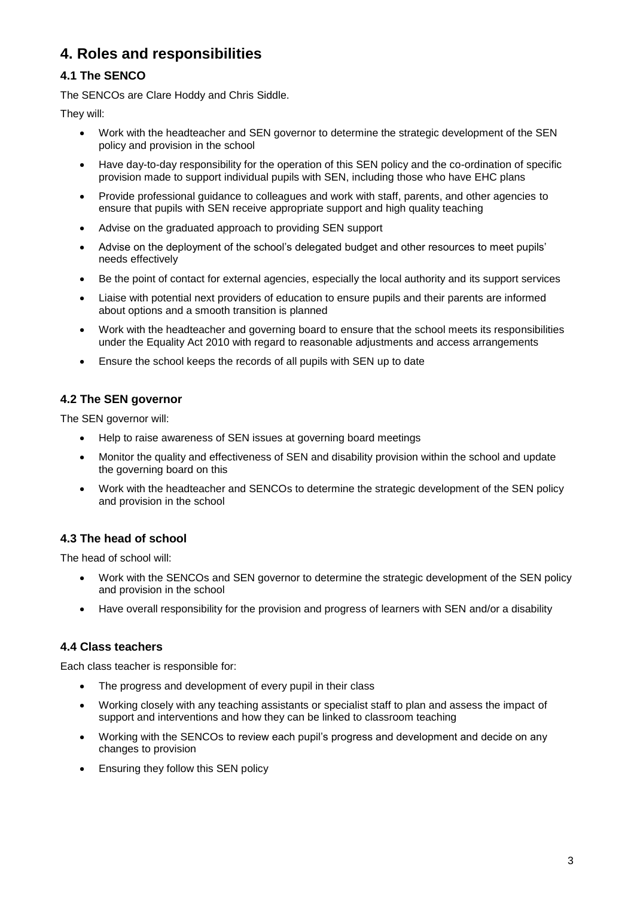# **4. Roles and responsibilities**

## **4.1 The SENCO**

The SENCOs are Clare Hoddy and Chris Siddle.

They will:

- Work with the headteacher and SEN governor to determine the strategic development of the SEN policy and provision in the school
- Have day-to-day responsibility for the operation of this SEN policy and the co-ordination of specific provision made to support individual pupils with SEN, including those who have EHC plans
- Provide professional guidance to colleagues and work with staff, parents, and other agencies to ensure that pupils with SEN receive appropriate support and high quality teaching
- Advise on the graduated approach to providing SEN support
- Advise on the deployment of the school's delegated budget and other resources to meet pupils' needs effectively
- Be the point of contact for external agencies, especially the local authority and its support services
- Liaise with potential next providers of education to ensure pupils and their parents are informed about options and a smooth transition is planned
- Work with the headteacher and governing board to ensure that the school meets its responsibilities under the Equality Act 2010 with regard to reasonable adjustments and access arrangements
- Ensure the school keeps the records of all pupils with SEN up to date

## **4.2 The SEN governor**

The SEN governor will:

- Help to raise awareness of SEN issues at governing board meetings
- Monitor the quality and effectiveness of SEN and disability provision within the school and update the governing board on this
- Work with the headteacher and SENCOs to determine the strategic development of the SEN policy and provision in the school

## **4.3 The head of school**

The head of school will:

- Work with the SENCOs and SEN governor to determine the strategic development of the SEN policy and provision in the school
- Have overall responsibility for the provision and progress of learners with SEN and/or a disability

## **4.4 Class teachers**

Each class teacher is responsible for:

- The progress and development of every pupil in their class
- Working closely with any teaching assistants or specialist staff to plan and assess the impact of support and interventions and how they can be linked to classroom teaching
- Working with the SENCOs to review each pupil's progress and development and decide on any changes to provision
- Ensuring they follow this SEN policy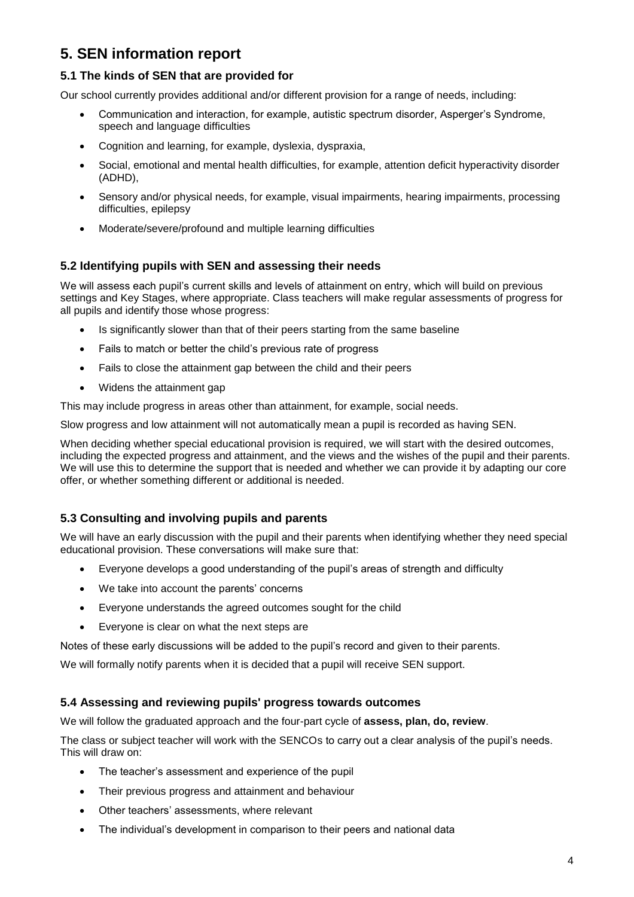# **5. SEN information report**

## **5.1 The kinds of SEN that are provided for**

Our school currently provides additional and/or different provision for a range of needs, including:

- Communication and interaction, for example, autistic spectrum disorder, Asperger's Syndrome, speech and language difficulties
- Cognition and learning, for example, dyslexia, dyspraxia,
- Social, emotional and mental health difficulties, for example, attention deficit hyperactivity disorder (ADHD),
- Sensory and/or physical needs, for example, visual impairments, hearing impairments, processing difficulties, epilepsy
- Moderate/severe/profound and multiple learning difficulties

#### **5.2 Identifying pupils with SEN and assessing their needs**

We will assess each pupil's current skills and levels of attainment on entry, which will build on previous settings and Key Stages, where appropriate. Class teachers will make regular assessments of progress for all pupils and identify those whose progress:

- Is significantly slower than that of their peers starting from the same baseline
- Fails to match or better the child's previous rate of progress
- Fails to close the attainment gap between the child and their peers
- Widens the attainment gap

This may include progress in areas other than attainment, for example, social needs.

Slow progress and low attainment will not automatically mean a pupil is recorded as having SEN.

When deciding whether special educational provision is required, we will start with the desired outcomes, including the expected progress and attainment, and the views and the wishes of the pupil and their parents. We will use this to determine the support that is needed and whether we can provide it by adapting our core offer, or whether something different or additional is needed.

#### **5.3 Consulting and involving pupils and parents**

We will have an early discussion with the pupil and their parents when identifying whether they need special educational provision. These conversations will make sure that:

- Everyone develops a good understanding of the pupil's areas of strength and difficulty
- We take into account the parents' concerns
- Everyone understands the agreed outcomes sought for the child
- Everyone is clear on what the next steps are

Notes of these early discussions will be added to the pupil's record and given to their parents.

We will formally notify parents when it is decided that a pupil will receive SEN support.

#### **5.4 Assessing and reviewing pupils' progress towards outcomes**

We will follow the graduated approach and the four-part cycle of **assess, plan, do, review**.

The class or subject teacher will work with the SENCOs to carry out a clear analysis of the pupil's needs. This will draw on:

- The teacher's assessment and experience of the pupil
- Their previous progress and attainment and behaviour
- Other teachers' assessments, where relevant
- The individual's development in comparison to their peers and national data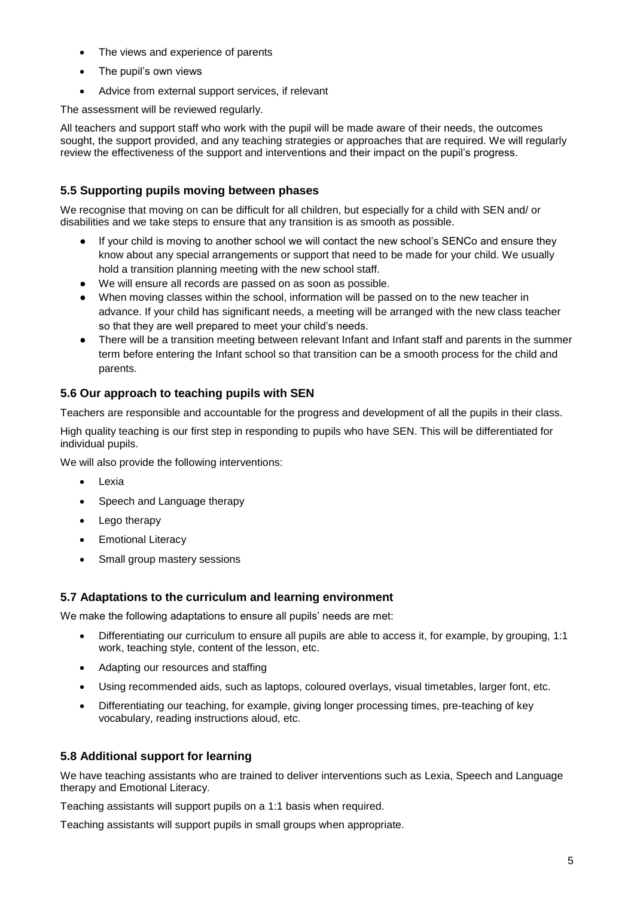- The views and experience of parents
- The pupil's own views
- Advice from external support services, if relevant

The assessment will be reviewed regularly.

All teachers and support staff who work with the pupil will be made aware of their needs, the outcomes sought, the support provided, and any teaching strategies or approaches that are required. We will regularly review the effectiveness of the support and interventions and their impact on the pupil's progress.

## **5.5 Supporting pupils moving between phases**

We recognise that moving on can be difficult for all children, but especially for a child with SEN and/ or disabilities and we take steps to ensure that any transition is as smooth as possible.

- If your child is moving to another school we will contact the new school's SENCo and ensure they know about any special arrangements or support that need to be made for your child. We usually hold a transition planning meeting with the new school staff.
- We will ensure all records are passed on as soon as possible.
- When moving classes within the school, information will be passed on to the new teacher in advance. If your child has significant needs, a meeting will be arranged with the new class teacher so that they are well prepared to meet your child's needs.
- There will be a transition meeting between relevant Infant and Infant staff and parents in the summer term before entering the Infant school so that transition can be a smooth process for the child and parents.

### **5.6 Our approach to teaching pupils with SEN**

Teachers are responsible and accountable for the progress and development of all the pupils in their class.

High quality teaching is our first step in responding to pupils who have SEN. This will be differentiated for individual pupils.

We will also provide the following interventions:

- Lexia
- Speech and Language therapy
- Lego therapy
- Emotional Literacy
- Small group mastery sessions

#### **5.7 Adaptations to the curriculum and learning environment**

We make the following adaptations to ensure all pupils' needs are met:

- Differentiating our curriculum to ensure all pupils are able to access it, for example, by grouping, 1:1 work, teaching style, content of the lesson, etc.
- Adapting our resources and staffing
- Using recommended aids, such as laptops, coloured overlays, visual timetables, larger font, etc.
- Differentiating our teaching, for example, giving longer processing times, pre-teaching of key vocabulary, reading instructions aloud, etc.

#### **5.8 Additional support for learning**

We have teaching assistants who are trained to deliver interventions such as Lexia, Speech and Language therapy and Emotional Literacy.

Teaching assistants will support pupils on a 1:1 basis when required.

Teaching assistants will support pupils in small groups when appropriate.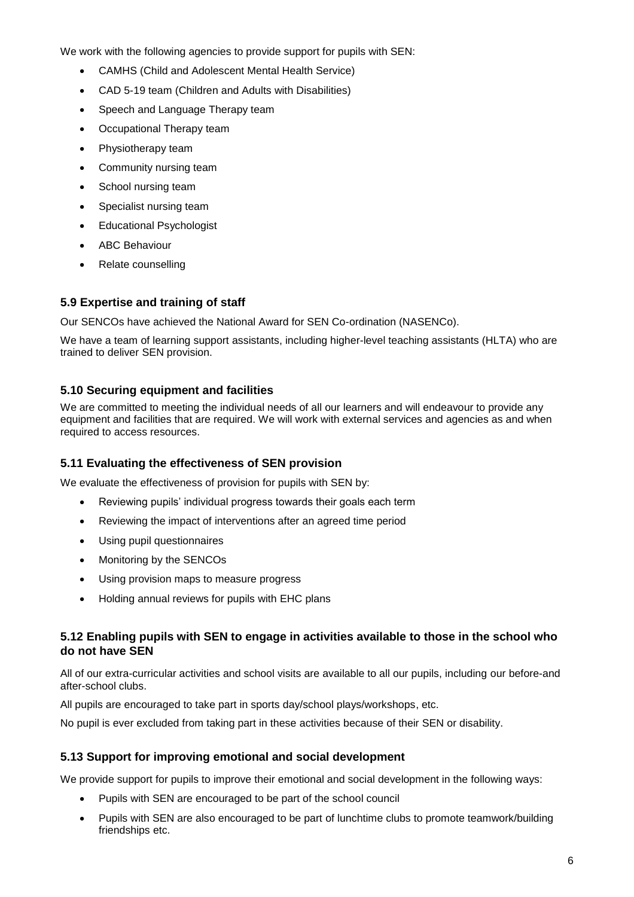We work with the following agencies to provide support for pupils with SEN:

- CAMHS (Child and Adolescent Mental Health Service)
- CAD 5-19 team (Children and Adults with Disabilities)
- Speech and Language Therapy team
- Occupational Therapy team
- Physiotherapy team
- Community nursing team
- School nursing team
- Specialist nursing team
- Educational Psychologist
- ABC Behaviour
- Relate counselling

### **5.9 Expertise and training of staff**

Our SENCOs have achieved the National Award for SEN Co-ordination (NASENCo).

We have a team of learning support assistants, including higher-level teaching assistants (HLTA) who are trained to deliver SEN provision.

#### **5.10 Securing equipment and facilities**

We are committed to meeting the individual needs of all our learners and will endeavour to provide any equipment and facilities that are required. We will work with external services and agencies as and when required to access resources.

#### **5.11 Evaluating the effectiveness of SEN provision**

We evaluate the effectiveness of provision for pupils with SEN by:

- Reviewing pupils' individual progress towards their goals each term
- Reviewing the impact of interventions after an agreed time period
- Using pupil questionnaires
- Monitoring by the SENCOs
- Using provision maps to measure progress
- Holding annual reviews for pupils with EHC plans

#### **5.12 Enabling pupils with SEN to engage in activities available to those in the school who do not have SEN**

All of our extra-curricular activities and school visits are available to all our pupils, including our before-and after-school clubs.

All pupils are encouraged to take part in sports day/school plays/workshops, etc.

No pupil is ever excluded from taking part in these activities because of their SEN or disability.

#### **5.13 Support for improving emotional and social development**

We provide support for pupils to improve their emotional and social development in the following ways:

- Pupils with SEN are encouraged to be part of the school council
- Pupils with SEN are also encouraged to be part of lunchtime clubs to promote teamwork/building friendships etc.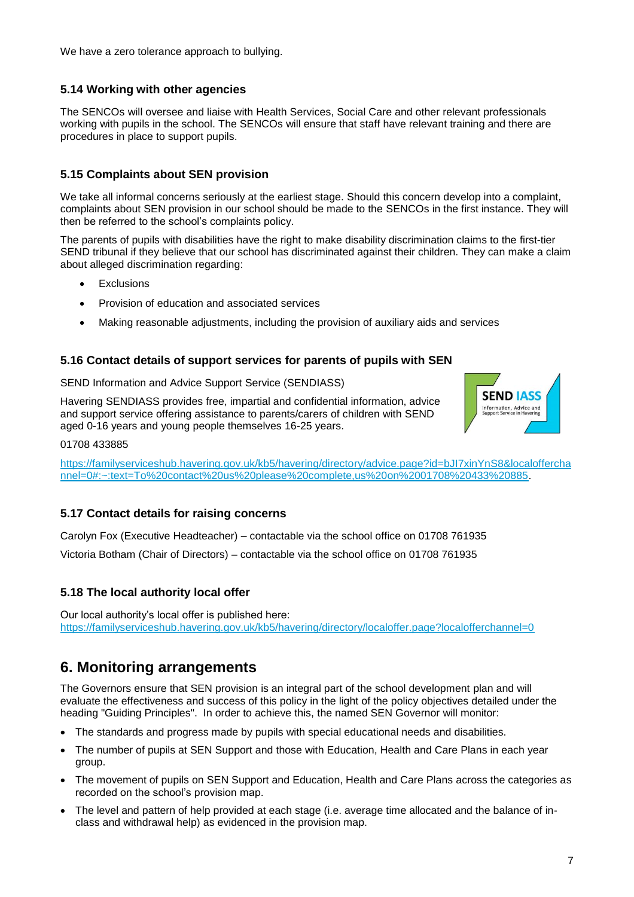We have a zero tolerance approach to bullying.

#### **5.14 Working with other agencies**

The SENCOs will oversee and liaise with Health Services, Social Care and other relevant professionals working with pupils in the school. The SENCOs will ensure that staff have relevant training and there are procedures in place to support pupils.

#### **5.15 Complaints about SEN provision**

We take all informal concerns seriously at the earliest stage. Should this concern develop into a complaint, complaints about SEN provision in our school should be made to the SENCOs in the first instance. They will then be referred to the school's complaints policy.

The parents of pupils with disabilities have the right to make disability discrimination claims to the first-tier SEND tribunal if they believe that our school has discriminated against their children. They can make a claim about alleged discrimination regarding:

- **Exclusions**
- Provision of education and associated services
- Making reasonable adjustments, including the provision of auxiliary aids and services

#### **5.16 Contact details of support services for parents of pupils with SEN**

SEND Information and Advice Support Service (SENDIASS)

Havering SENDIASS provides free, impartial and confidential information, advice and support service offering assistance to parents/carers of children with SEND aged 0-16 years and young people themselves 16-25 years.



01708 433885

[https://familyserviceshub.havering.gov.uk/kb5/havering/directory/advice.page?id=bJI7xinYnS8&localoffercha](https://familyserviceshub.havering.gov.uk/kb5/havering/directory/advice.page?id=bJI7xinYnS8&localofferchannel=0#:~:text=To%20contact%20us%20please%20complete,us%20on%2001708%20433%20885) [nnel=0#:~:text=To%20contact%20us%20please%20complete,us%20on%2001708%20433%20885.](https://familyserviceshub.havering.gov.uk/kb5/havering/directory/advice.page?id=bJI7xinYnS8&localofferchannel=0#:~:text=To%20contact%20us%20please%20complete,us%20on%2001708%20433%20885)

#### **5.17 Contact details for raising concerns**

Carolyn Fox (Executive Headteacher) – contactable via the school office on 01708 761935

Victoria Botham (Chair of Directors) – contactable via the school office on 01708 761935

#### **5.18 The local authority local offer**

Our local authority's local offer is published here: <https://familyserviceshub.havering.gov.uk/kb5/havering/directory/localoffer.page?localofferchannel=0>

## **6. Monitoring arrangements**

The Governors ensure that SEN provision is an integral part of the school development plan and will evaluate the effectiveness and success of this policy in the light of the policy objectives detailed under the heading "Guiding Principles". In order to achieve this, the named SEN Governor will monitor:

- The standards and progress made by pupils with special educational needs and disabilities.
- The number of pupils at SEN Support and those with Education, Health and Care Plans in each year group.
- The movement of pupils on SEN Support and Education, Health and Care Plans across the categories as recorded on the school's provision map.
- The level and pattern of help provided at each stage (i.e. average time allocated and the balance of inclass and withdrawal help) as evidenced in the provision map.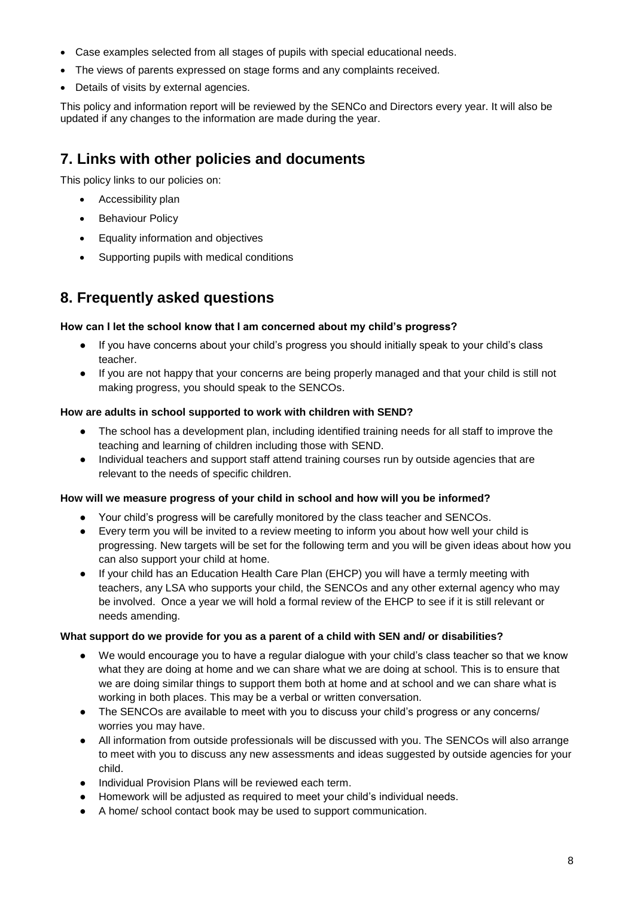- Case examples selected from all stages of pupils with special educational needs.
- The views of parents expressed on stage forms and any complaints received.
- Details of visits by external agencies.

This policy and information report will be reviewed by the SENCo and Directors every year. It will also be updated if any changes to the information are made during the year.

## **7. Links with other policies and documents**

This policy links to our policies on:

- Accessibility plan
- Behaviour Policy
- Equality information and objectives
- Supporting pupils with medical conditions

## **8. Frequently asked questions**

#### **How can I let the school know that I am concerned about my child's progress?**

- If you have concerns about your child's progress you should initially speak to your child's class teacher.
- If you are not happy that your concerns are being properly managed and that your child is still not making progress, you should speak to the SENCOs.

#### **How are adults in school supported to work with children with SEND?**

- The school has a development plan, including identified training needs for all staff to improve the teaching and learning of children including those with SEND.
- Individual teachers and support staff attend training courses run by outside agencies that are relevant to the needs of specific children.

#### **How will we measure progress of your child in school and how will you be informed?**

- Your child's progress will be carefully monitored by the class teacher and SENCOs.
- Every term you will be invited to a review meeting to inform you about how well your child is progressing. New targets will be set for the following term and you will be given ideas about how you can also support your child at home.
- If your child has an Education Health Care Plan (EHCP) you will have a termly meeting with teachers, any LSA who supports your child, the SENCOs and any other external agency who may be involved. Once a year we will hold a formal review of the EHCP to see if it is still relevant or needs amending.

#### **What support do we provide for you as a parent of a child with SEN and/ or disabilities?**

- We would encourage you to have a regular dialogue with your child's class teacher so that we know what they are doing at home and we can share what we are doing at school. This is to ensure that we are doing similar things to support them both at home and at school and we can share what is working in both places. This may be a verbal or written conversation.
- The SENCOs are available to meet with you to discuss your child's progress or any concerns/ worries you may have.
- All information from outside professionals will be discussed with you. The SENCOs will also arrange to meet with you to discuss any new assessments and ideas suggested by outside agencies for your child.
- Individual Provision Plans will be reviewed each term.
- Homework will be adjusted as required to meet your child's individual needs.
- A home/ school contact book may be used to support communication.